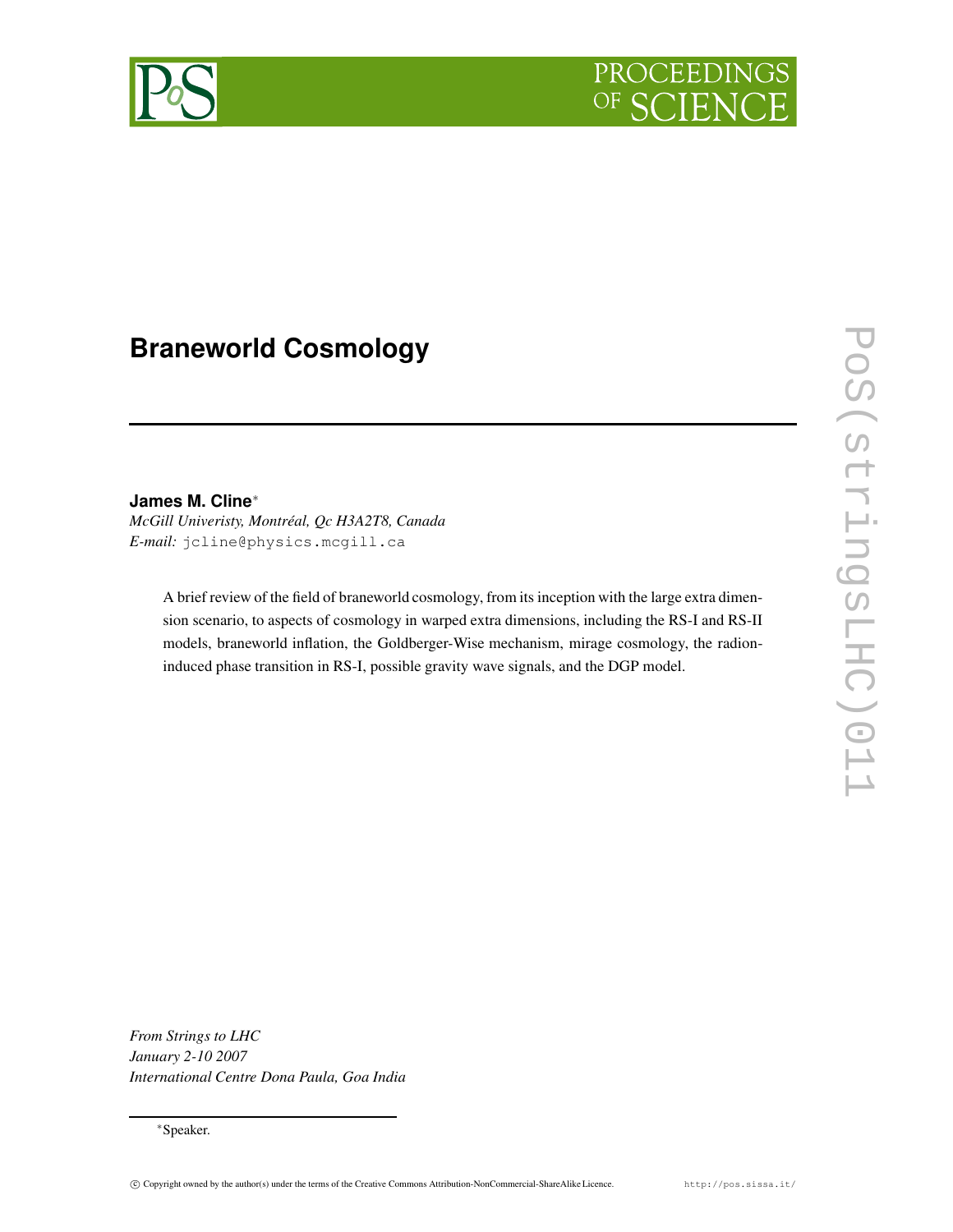

# **Braneworld Cosmology**

# **James M. Cline**∗

*McGill Univeristy, Montréal, Qc H3A2T8, Canada E-mail:* jcline@physics.mcgill.ca

> A brief review of the field of braneworld cosmology, from its inception with the large extra dimension scenario, to aspects of cosmology in warped extra dimensions, including the RS-I and RS-II models, braneworld inflation, the Goldberger-Wise mechanism, mirage cosmology, the radioninduced phase transition in RS-I, possible gravity wave signals, and the DGP model.

*From Strings to LHC January 2-10 2007 International Centre Dona Paula, Goa India*

<sup>∗</sup>Speaker.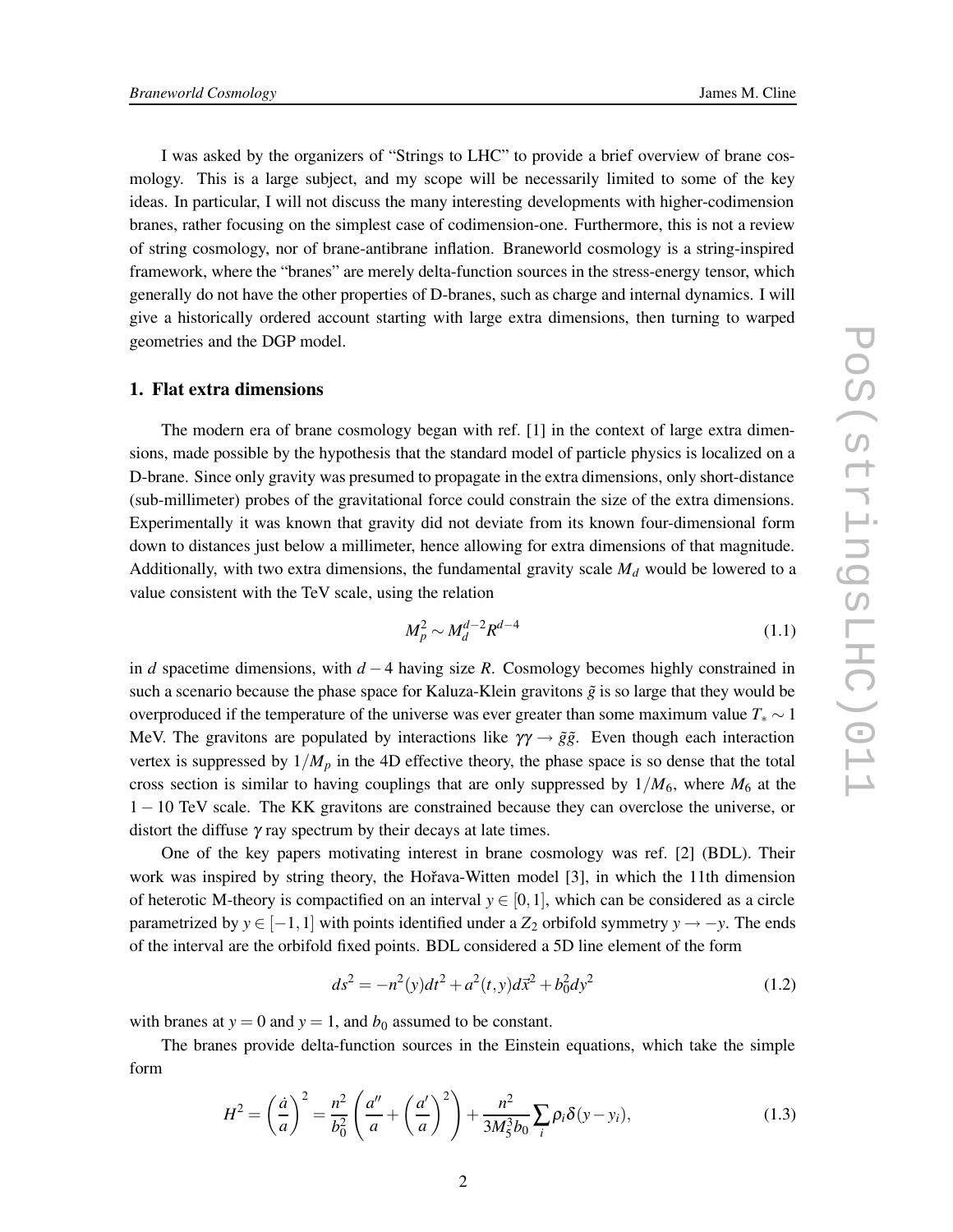I was asked by the organizers of "Strings to LHC" to provide a brief overview of brane cosmology. This is a large subject, and my scope will be necessarily limited to some of the key ideas. In particular, I will not discuss the many interesting developments with higher-codimension branes, rather focusing on the simplest case of codimension-one. Furthermore, this is not a review of string cosmology, nor of brane-antibrane inflation. Braneworld cosmology is a string-inspired framework, where the "branes" are merely delta-function sources in the stress-energy tensor, which generally do not have the other properties of D-branes, such as charge and internal dynamics. I will give a historically ordered account starting with large extra dimensions, then turning to warped geometries and the DGP model.

#### **1. Flat extra dimensions**

The modern era of brane cosmology began with ref. [1] in the context of large extra dimensions, made possible by the hypothesis that the standard model of particle physics is localized on a D-brane. Since only gravity was presumed to propagate in the extra dimensions, only short-distance (sub-millimeter) probes of the gravitational force could constrain the size of the extra dimensions. Experimentally it was known that gravity did not deviate from its known four-dimensional form down to distances just below a millimeter, hence allowing for extra dimensions of that magnitude. Additionally, with two extra dimensions, the fundamental gravity scale *M<sup>d</sup>* would be lowered to a value consistent with the TeV scale, using the relation

$$
M_p^2 \sim M_d^{d-2} R^{d-4} \tag{1.1}
$$

in *d* spacetime dimensions, with *d* −4 having size *R*. Cosmology becomes highly constrained in such a scenario because the phase space for Kaluza-Klein gravitons  $\tilde{g}$  is so large that they would be overproduced if the temperature of the universe was ever greater than some maximum value  $T_* \sim 1$ MeV. The gravitons are populated by interactions like  $\gamma \gamma \rightarrow \tilde{g} \tilde{g}$ . Even though each interaction vertex is suppressed by  $1/M_p$  in the 4D effective theory, the phase space is so dense that the total cross section is similar to having couplings that are only suppressed by  $1/M_6$ , where  $M_6$  at the 1 − 10 TeV scale. The KK gravitons are constrained because they can overclose the universe, or distort the diffuse  $\gamma$  ray spectrum by their decays at late times.

One of the key papers motivating interest in brane cosmology was ref. [2] (BDL). Their work was inspired by string theory, the Hořava-Witten model [3], in which the 11th dimension of heterotic M-theory is compactified on an interval  $y \in [0,1]$ , which can be considered as a circle parametrized by  $y \in [-1,1]$  with points identified under a  $Z_2$  orbifold symmetry  $y \rightarrow -y$ . The ends of the interval are the orbifold fixed points. BDL considered a 5D line element of the form

$$
ds^{2} = -n^{2}(y)dt^{2} + a^{2}(t, y)d\vec{x}^{2} + b_{0}^{2}dy^{2}
$$
\n(1.2)

with branes at  $y = 0$  and  $y = 1$ , and  $b_0$  assumed to be constant.

The branes provide delta-function sources in the Einstein equations, which take the simple form

$$
H^{2} = \left(\frac{\dot{a}}{a}\right)^{2} = \frac{n^{2}}{b_{0}^{2}} \left(\frac{a''}{a} + \left(\frac{a'}{a}\right)^{2}\right) + \frac{n^{2}}{3M_{5}^{3}b_{0}} \sum_{i} \rho_{i} \delta(y - y_{i}),
$$
\n(1.3)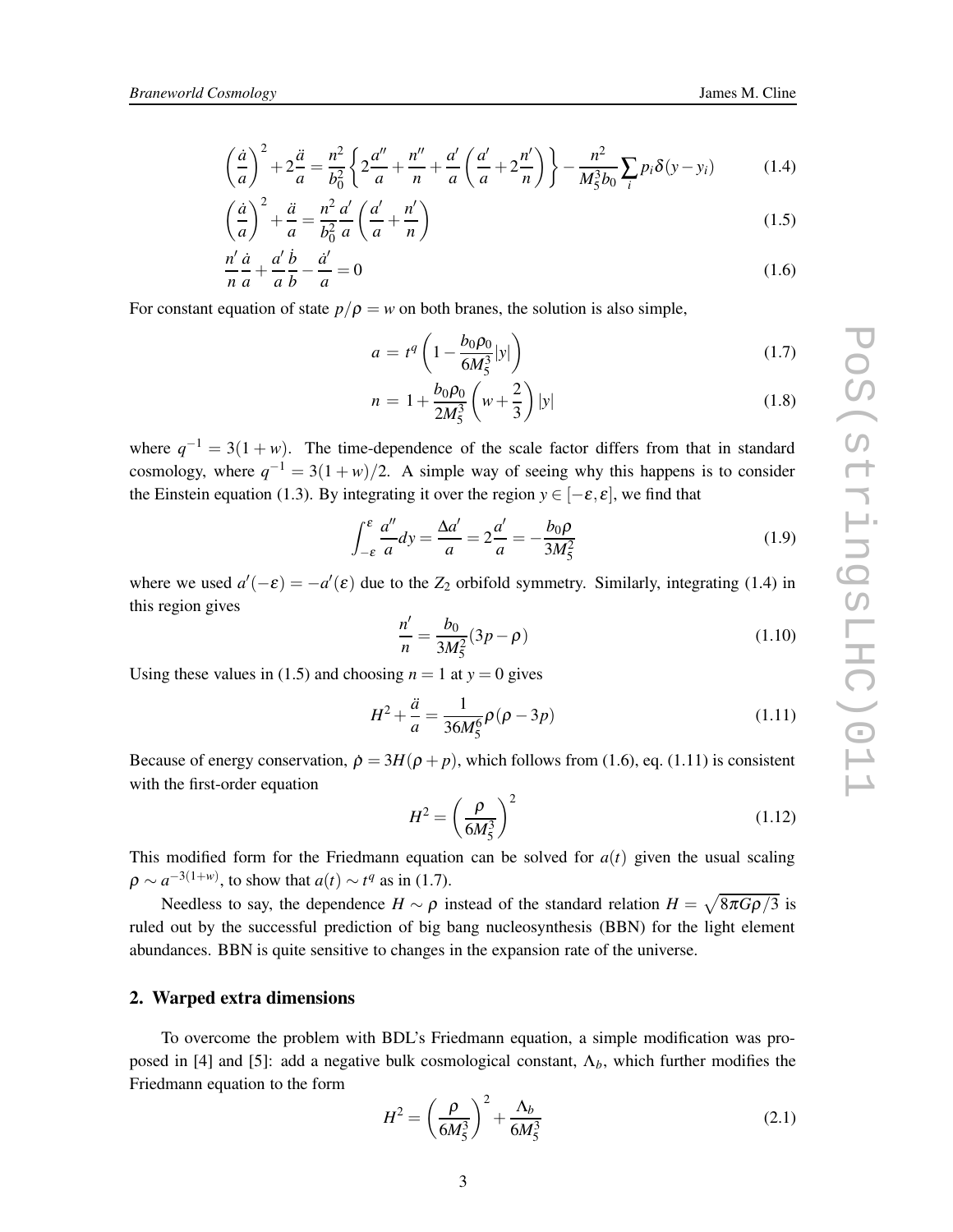$$
\left(\frac{\dot{a}}{a}\right)^2 + 2\frac{\ddot{a}}{a} = \frac{n^2}{b_0^2} \left\{ 2\frac{a''}{a} + \frac{n''}{n} + \frac{a'}{a} \left(\frac{a'}{a} + 2\frac{n'}{n}\right) \right\} - \frac{n^2}{M_5^3 b_0} \sum_i p_i \delta(y - y_i)
$$
(1.4)

$$
\left(\frac{\dot{a}}{a}\right)^2 + \frac{\ddot{a}}{a} = \frac{n^2}{b_0^2} \frac{a'}{a} \left(\frac{a'}{a} + \frac{n'}{n}\right) \tag{1.5}
$$

$$
\frac{n'}{n}\frac{\dot{a}}{a} + \frac{a'}{a}\frac{\dot{b}}{b} - \frac{\dot{a}'}{a} = 0\tag{1.6}
$$

For constant equation of state  $p/\rho = w$  on both branes, the solution is also simple,

$$
a = t^{q} \left( 1 - \frac{b_0 \rho_0}{6M_5^3} |y| \right) \tag{1.7}
$$

$$
n = 1 + \frac{b_0 \rho_0}{2M_5^3} \left( w + \frac{2}{3} \right) |y|
$$
 (1.8)

where  $q^{-1} = 3(1 + w)$ . The time-dependence of the scale factor differs from that in standard cosmology, where  $q^{-1} = 3(1+w)/2$ . A simple way of seeing why this happens is to consider the Einstein equation (1.3). By integrating it over the region  $y \in [-\varepsilon, \varepsilon]$ , we find that

$$
\int_{-\varepsilon}^{\varepsilon} \frac{a''}{a} dy = \frac{\Delta a'}{a} = 2\frac{a'}{a} = -\frac{b_0 \rho}{3M_5^2}
$$
 (1.9)

where we used  $a'(-\varepsilon) = -a'(\varepsilon)$  due to the  $Z_2$  orbifold symmetry. Similarly, integrating (1.4) in this region gives

$$
\frac{n'}{n} = \frac{b_0}{3M_5^2} (3p - \rho)
$$
\n(1.10)

Using these values in (1.5) and choosing  $n = 1$  at  $y = 0$  gives

$$
H^2 + \frac{\ddot{a}}{a} = \frac{1}{36M_5^6} \rho (\rho - 3p)
$$
 (1.11)

Because of energy conservation,  $\dot{\rho} = 3H(\rho + p)$ , which follows from (1.6), eq. (1.11) is consistent with the first-order equation

$$
H^2 = \left(\frac{\rho}{6M_5^3}\right)^2\tag{1.12}
$$

This modified form for the Friedmann equation can be solved for  $a(t)$  given the usual scaling  $\rho \sim a^{-3(1+w)}$ , to show that  $a(t) \sim t^q$  as in (1.7).

Needless to say, the dependence  $H \sim \rho$  instead of the standard relation  $H = \sqrt{8\pi G\rho/3}$  is ruled out by the successful prediction of big bang nucleosynthesis (BBN) for the light element abundances. BBN is quite sensitive to changes in the expansion rate of the universe.

## **2. Warped extra dimensions**

To overcome the problem with BDL's Friedmann equation, a simple modification was proposed in [4] and [5]: add a negative bulk cosmological constant,  $\Lambda_b$ , which further modifies the Friedmann equation to the form

$$
H^{2} = \left(\frac{\rho}{6M_{5}^{3}}\right)^{2} + \frac{\Lambda_{b}}{6M_{5}^{3}}
$$
 (2.1)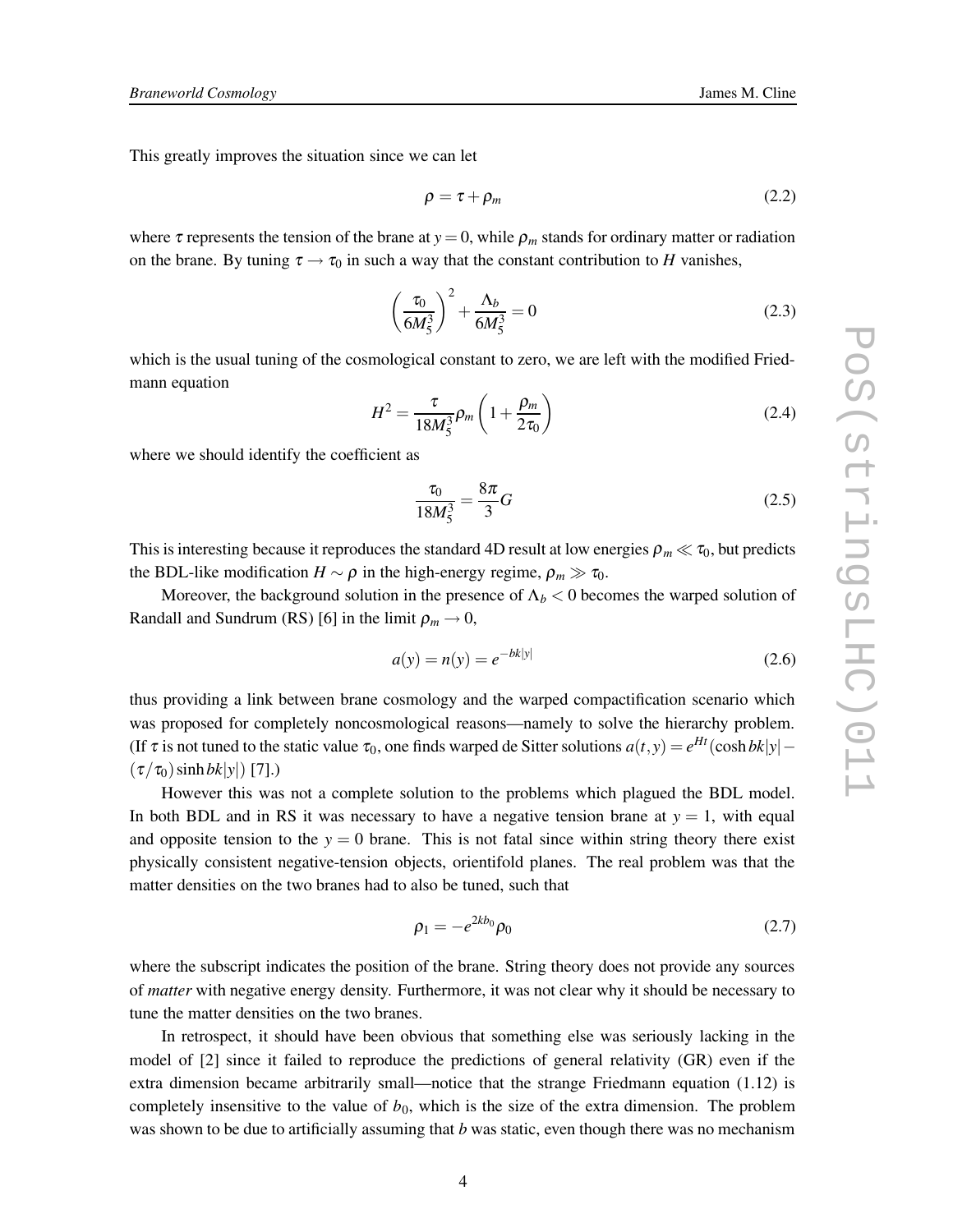This greatly improves the situation since we can let

$$
\rho = \tau + \rho_m \tag{2.2}
$$

where  $\tau$  represents the tension of the brane at  $y = 0$ , while  $\rho_m$  stands for ordinary matter or radiation on the brane. By tuning  $\tau \rightarrow \tau_0$  in such a way that the constant contribution to *H* vanishes,

$$
\left(\frac{\tau_0}{6M_5^3}\right)^2 + \frac{\Lambda_b}{6M_5^3} = 0\tag{2.3}
$$

which is the usual tuning of the cosmological constant to zero, we are left with the modified Friedmann equation

$$
H^{2} = \frac{\tau}{18M_{5}^{3}} \rho_{m} \left( 1 + \frac{\rho_{m}}{2\tau_{0}} \right)
$$
 (2.4)

where we should identify the coefficient as

$$
\frac{\tau_0}{18M_5^3} = \frac{8\pi}{3}G\tag{2.5}
$$

This is interesting because it reproduces the standard 4D result at low energies  $\rho_m \ll \tau_0$ , but predicts the BDL-like modification  $H \sim \rho$  in the high-energy regime,  $\rho_m \gg \tau_0$ .

Moreover, the background solution in the presence of  $\Lambda_b < 0$  becomes the warped solution of Randall and Sundrum (RS) [6] in the limit  $\rho_m \to 0$ ,

$$
a(y) = n(y) = e^{-bk|y|}
$$
 (2.6)

thus providing a link between brane cosmology and the warped compactification scenario which was proposed for completely noncosmological reasons—namely to solve the hierarchy problem. (If  $\tau$  is not tuned to the static value  $\tau_0$ , one finds warped de Sitter solutions  $a(t, y) = e^{Ht}(\cosh bk|y| (\tau/\tau_0)$  sinh *bk*|y|) [7].)

However this was not a complete solution to the problems which plagued the BDL model. In both BDL and in RS it was necessary to have a negative tension brane at  $y = 1$ , with equal and opposite tension to the  $y = 0$  brane. This is not fatal since within string theory there exist physically consistent negative-tension objects, orientifold planes. The real problem was that the matter densities on the two branes had to also be tuned, such that

$$
\rho_1 = -e^{2kb_0}\rho_0\tag{2.7}
$$

where the subscript indicates the position of the brane. String theory does not provide any sources of *matter* with negative energy density. Furthermore, it was not clear why it should be necessary to tune the matter densities on the two branes.

In retrospect, it should have been obvious that something else was seriously lacking in the model of [2] since it failed to reproduce the predictions of general relativity (GR) even if the extra dimension became arbitrarily small—notice that the strange Friedmann equation (1.12) is completely insensitive to the value of  $b<sub>0</sub>$ , which is the size of the extra dimension. The problem was shown to be due to artificially assuming that *b* was static, even though there was no mechanism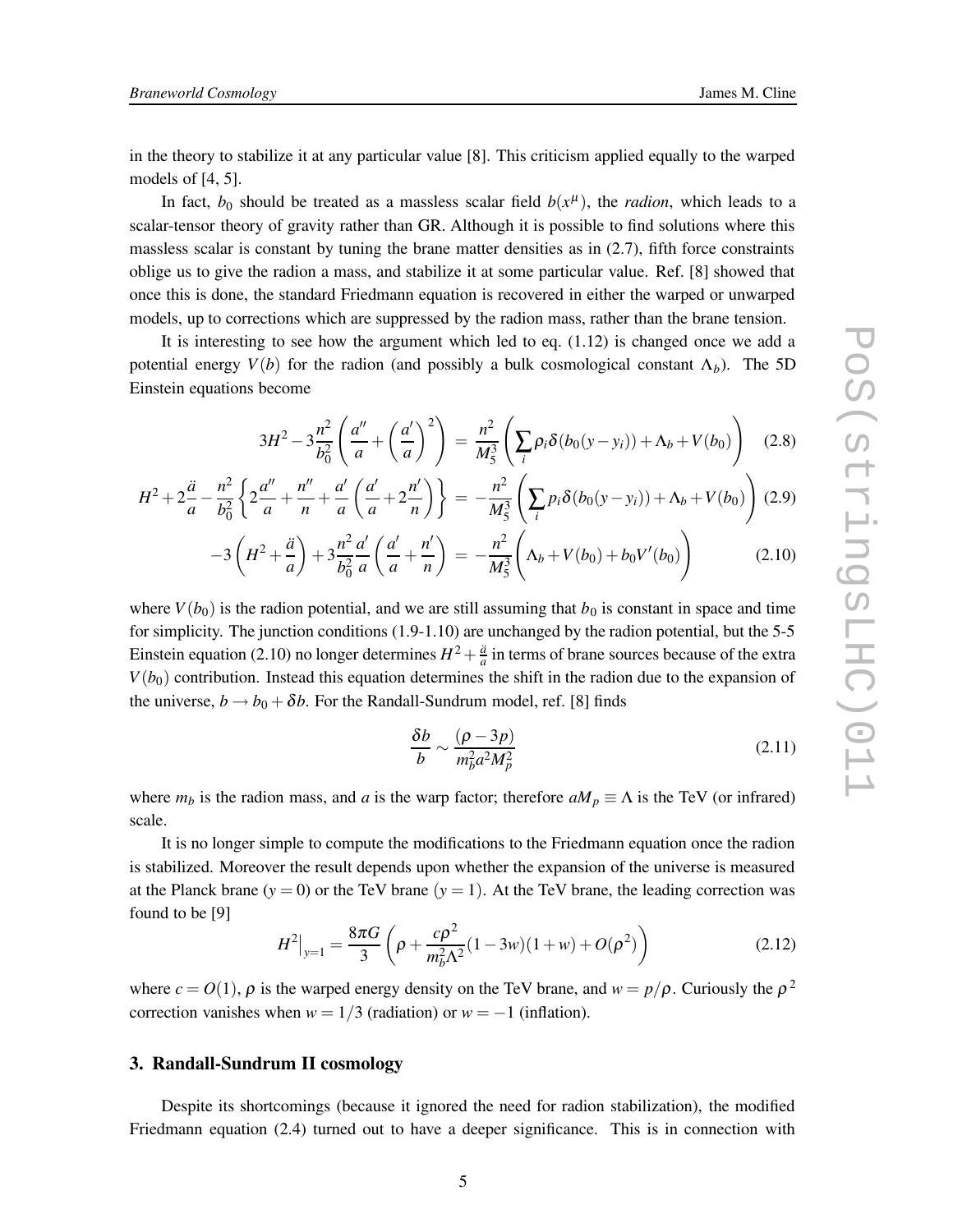in the theory to stabilize it at any particular value [8]. This criticism applied equally to the warped models of [4, 5].

In fact,  $b_0$  should be treated as a massless scalar field  $b(x^{\mu})$ , the *radion*, which leads to a scalar-tensor theory of gravity rather than GR. Although it is possible to find solutions where this massless scalar is constant by tuning the brane matter densities as in (2.7), fifth force constraints oblige us to give the radion a mass, and stabilize it at some particular value. Ref. [8] showed that once this is done, the standard Friedmann equation is recovered in either the warped or unwarped models, up to corrections which are suppressed by the radion mass, rather than the brane tension.

It is interesting to see how the argument which led to eq. (1.12) is changed once we add a potential energy  $V(b)$  for the radion (and possibly a bulk cosmological constant  $\Lambda_b$ ). The 5D Einstein equations become

$$
3H^2 - 3\frac{n^2}{b_0^2} \left( \frac{a''}{a} + \left( \frac{a'}{a} \right)^2 \right) = \frac{n^2}{M_5^3} \left( \sum_i \rho_i \delta(b_0(y - y_i)) + \Lambda_b + V(b_0) \right) \tag{2.8}
$$

$$
H^2 + 2\frac{\ddot{a}}{a} - \frac{n^2}{b_0^2} \left\{ 2\frac{a''}{a} + \frac{n''}{n} + \frac{a'}{a} \left( \frac{a'}{a} + 2\frac{n'}{n} \right) \right\} = -\frac{n^2}{M_5^3} \left( \sum_i p_i \delta(b_0(y - y_i)) + \Lambda_b + V(b_0) \right) (2.9)
$$

$$
-3\left(H^2 + \frac{\ddot{a}}{a}\right) + 3\frac{n^2}{b_0^2} \frac{a'}{a} \left(\frac{a'}{a} + \frac{n'}{n}\right) = -\frac{n^2}{M_5^3} \left(\Lambda_b + V(b_0) + b_0 V'(b_0)\right) \tag{2.10}
$$

where  $V(b_0)$  is the radion potential, and we are still assuming that  $b_0$  is constant in space and time for simplicity. The junction conditions (1.9-1.10) are unchanged by the radion potential, but the 5-5 Einstein equation (2.10) no longer determines  $H^2 + \frac{\ddot{a}}{a}$  in terms of brane sources because of the extra  $V(b_0)$  contribution. Instead this equation determines the shift in the radion due to the expansion of the universe,  $b \rightarrow b_0 + \delta b$ . For the Randall-Sundrum model, ref. [8] finds

$$
\frac{\delta b}{b} \sim \frac{(\rho - 3p)}{m_b^2 a^2 M_p^2} \tag{2.11}
$$

where  $m_b$  is the radion mass, and *a* is the warp factor; therefore  $aM_p \equiv \Lambda$  is the TeV (or infrared) scale.

It is no longer simple to compute the modifications to the Friedmann equation once the radion is stabilized. Moreover the result depends upon whether the expansion of the universe is measured at the Planck brane  $(y = 0)$  or the TeV brane  $(y = 1)$ . At the TeV brane, the leading correction was found to be [9]

$$
H^2|_{y=1} = \frac{8\pi G}{3} \left( \rho + \frac{c\rho^2}{m_b^2 \Lambda^2} (1 - 3w)(1 + w) + O(\rho^2) \right)
$$
 (2.12)

where  $c = O(1)$ ,  $\rho$  is the warped energy density on the TeV brane, and  $w = p/\rho$ . Curiously the  $\rho^2$ correction vanishes when  $w = 1/3$  (radiation) or  $w = -1$  (inflation).

# **3. Randall-Sundrum II cosmology**

Despite its shortcomings (because it ignored the need for radion stabilization), the modified Friedmann equation (2.4) turned out to have a deeper significance. This is in connection with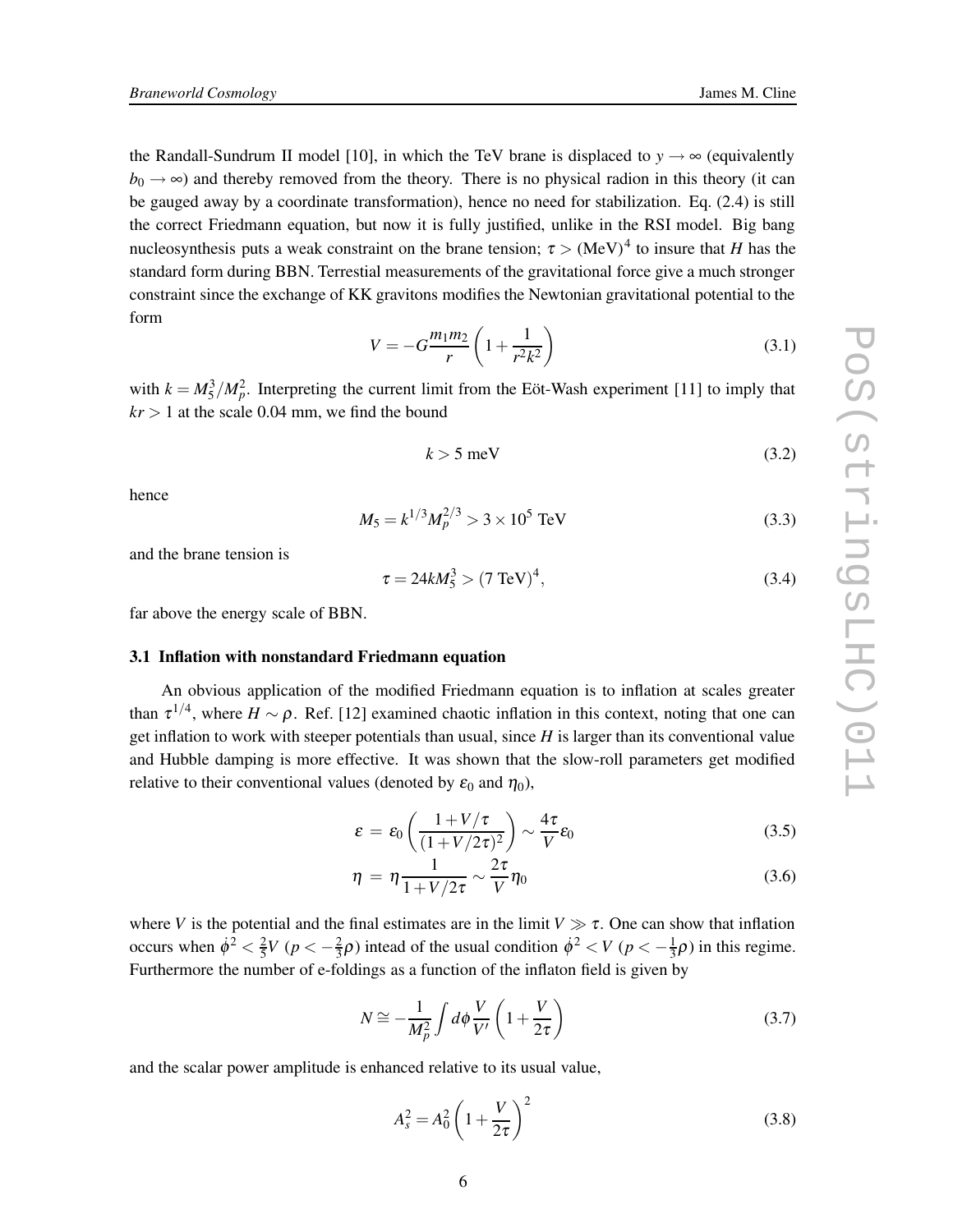the Randall-Sundrum II model [10], in which the TeV brane is displaced to  $y \rightarrow \infty$  (equivalently  $b_0 \rightarrow \infty$ ) and thereby removed from the theory. There is no physical radion in this theory (it can be gauged away by a coordinate transformation), hence no need for stabilization. Eq. (2.4) is still the correct Friedmann equation, but now it is fully justified, unlike in the RSI model. Big bang nucleosynthesis puts a weak constraint on the brane tension;  $\tau > (MeV)^4$  to insure that *H* has the standard form during BBN. Terrestial measurements of the gravitational force give a much stronger constraint since the exchange of KK gravitons modifies the Newtonian gravitational potential to the form

$$
V = -G\frac{m_1m_2}{r}\left(1 + \frac{1}{r^2k^2}\right)
$$
 (3.1)

with  $k = M_5^3/M_p^2$ . Interpreting the current limit from the Eöt-Wash experiment [11] to imply that  $kr > 1$  at the scale 0.04 mm, we find the bound

$$
k > 5 \text{ meV} \tag{3.2}
$$

hence

$$
M_5 = k^{1/3} M_p^{2/3} > 3 \times 10^5 \text{ TeV}
$$
 (3.3)

and the brane tension is

$$
\tau = 24kM_5^3 > (7 \text{ TeV})^4,\tag{3.4}
$$

far above the energy scale of BBN.

#### **3.1 Inflation with nonstandard Friedmann equation**

An obvious application of the modified Friedmann equation is to inflation at scales greater than  $\tau^{1/4}$ , where  $H \sim \rho$ . Ref. [12] examined chaotic inflation in this context, noting that one can get inflation to work with steeper potentials than usual, since *H* is larger than its conventional value and Hubble damping is more effective. It was shown that the slow-roll parameters get modified relative to their conventional values (denoted by  $\varepsilon_0$  and  $\eta_0$ ),

$$
\varepsilon = \varepsilon_0 \left( \frac{1 + V/\tau}{(1 + V/2\tau)^2} \right) \sim \frac{4\tau}{V} \varepsilon_0 \tag{3.5}
$$

$$
\eta = \eta \frac{1}{1 + V/2\tau} \sim \frac{2\tau}{V} \eta_0 \tag{3.6}
$$

where *V* is the potential and the final estimates are in the limit  $V \gg \tau$ . One can show that inflation occurs when  $\dot{\phi}^2 < \frac{2}{5}V$  ( $p < -\frac{2}{3}\rho$ ) intead of the usual condition  $\dot{\phi}^2 < V$  ( $p < -\frac{1}{3}\rho$ ) in this regime. Furthermore the number of e-foldings as a function of the inflaton field is given by

$$
N \cong -\frac{1}{M_p^2} \int d\phi \frac{V}{V'} \left( 1 + \frac{V}{2\tau} \right) \tag{3.7}
$$

and the scalar power amplitude is enhanced relative to its usual value,

$$
A_s^2 = A_0^2 \left( 1 + \frac{V}{2\tau} \right)^2 \tag{3.8}
$$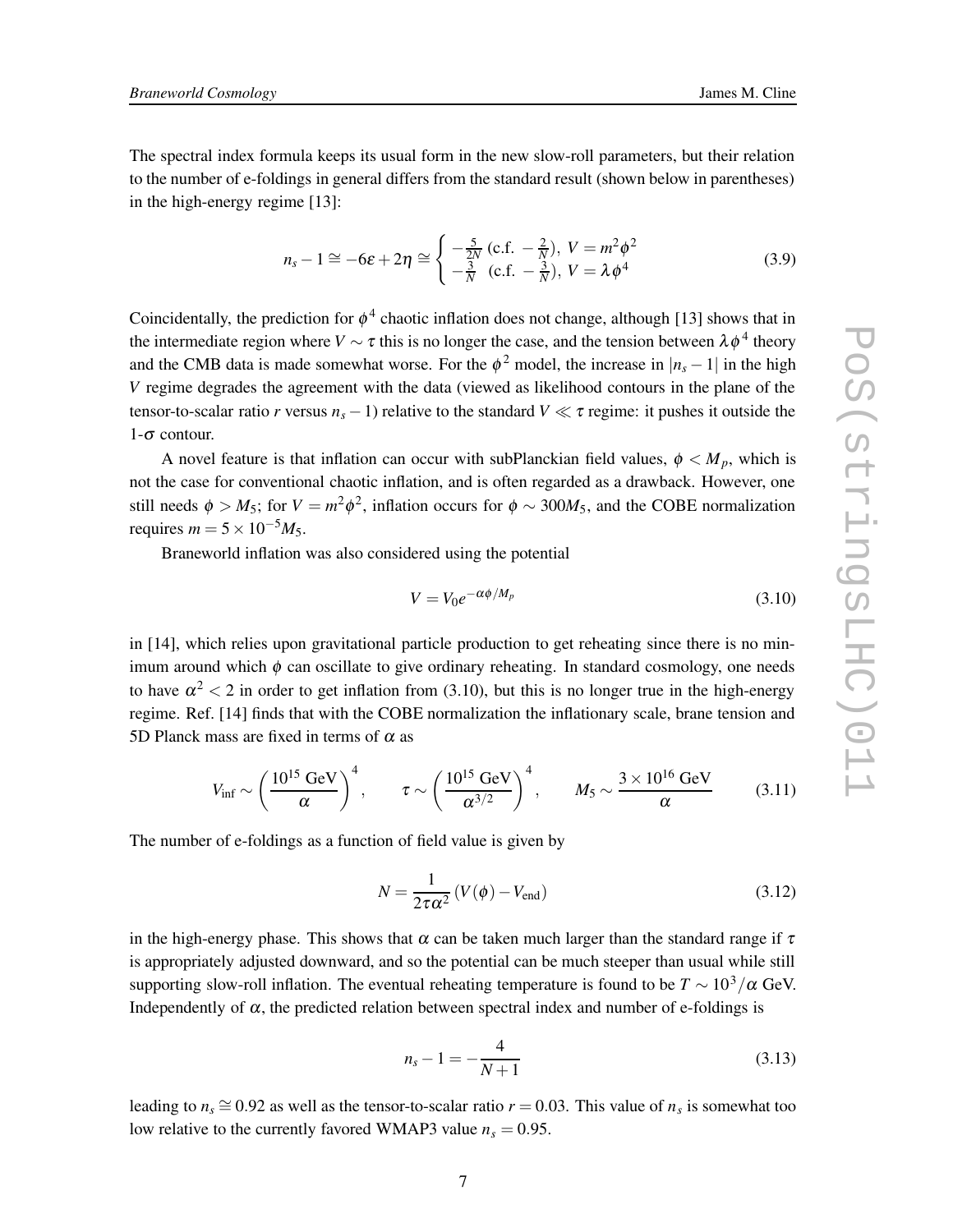The spectral index formula keeps its usual form in the new slow-roll parameters, but their relation to the number of e-foldings in general differs from the standard result (shown below in parentheses) in the high-energy regime [13]:

$$
n_s - 1 \cong -6\varepsilon + 2\eta \cong \begin{cases} -\frac{5}{2N} \left( \text{c.f.} - \frac{2}{N} \right), & V = m^2 \phi^2\\ -\frac{3}{N} \left( \text{c.f.} - \frac{3}{N} \right), & V = \lambda \phi^4 \end{cases} \tag{3.9}
$$

Coincidentally, the prediction for  $\phi^4$  chaotic inflation does not change, although [13] shows that in the intermediate region where  $V \sim \tau$  this is no longer the case, and the tension between  $\lambda \phi^4$  theory and the CMB data is made somewhat worse. For the  $\phi^2$  model, the increase in  $|n_s - 1|$  in the high *V* regime degrades the agreement with the data (viewed as likelihood contours in the plane of the tensor-to-scalar ratio *r* versus  $n_s - 1$ ) relative to the standard  $V \ll \tau$  regime: it pushes it outside the  $1-\sigma$  contour.

A novel feature is that inflation can occur with subPlanckian field values,  $\phi < M_p$ , which is not the case for conventional chaotic inflation, and is often regarded as a drawback. However, one still needs  $\phi > M_5$ ; for  $V = m^2 \phi^2$ , inflation occurs for  $\phi \sim 300 M_5$ , and the COBE normalization requires  $m = 5 \times 10^{-5} M_5$ .

Braneworld inflation was also considered using the potential

$$
V = V_0 e^{-\alpha \phi / M_p} \tag{3.10}
$$

in [14], which relies upon gravitational particle production to get reheating since there is no minimum around which  $\phi$  can oscillate to give ordinary reheating. In standard cosmology, one needs to have  $\alpha^2 < 2$  in order to get inflation from (3.10), but this is no longer true in the high-energy regime. Ref. [14] finds that with the COBE normalization the inflationary scale, brane tension and 5D Planck mass are fixed in terms of  $\alpha$  as

$$
V_{\rm inf} \sim \left(\frac{10^{15} \text{ GeV}}{\alpha}\right)^4, \qquad \tau \sim \left(\frac{10^{15} \text{ GeV}}{\alpha^{3/2}}\right)^4, \qquad M_5 \sim \frac{3 \times 10^{16} \text{ GeV}}{\alpha} \tag{3.11}
$$

The number of e-foldings as a function of field value is given by

$$
N = \frac{1}{2\tau\alpha^2} \left( V(\phi) - V_{\text{end}} \right) \tag{3.12}
$$

in the high-energy phase. This shows that  $\alpha$  can be taken much larger than the standard range if  $\tau$ is appropriately adjusted downward, and so the potential can be much steeper than usual while still supporting slow-roll inflation. The eventual reheating temperature is found to be  $T \sim 10^3/\alpha$  GeV. Independently of  $\alpha$ , the predicted relation between spectral index and number of e-foldings is

$$
n_s - 1 = -\frac{4}{N+1}
$$
 (3.13)

leading to  $n_s \approx 0.92$  as well as the tensor-to-scalar ratio  $r = 0.03$ . This value of  $n_s$  is somewhat too low relative to the currently favored WMAP3 value  $n_s = 0.95$ .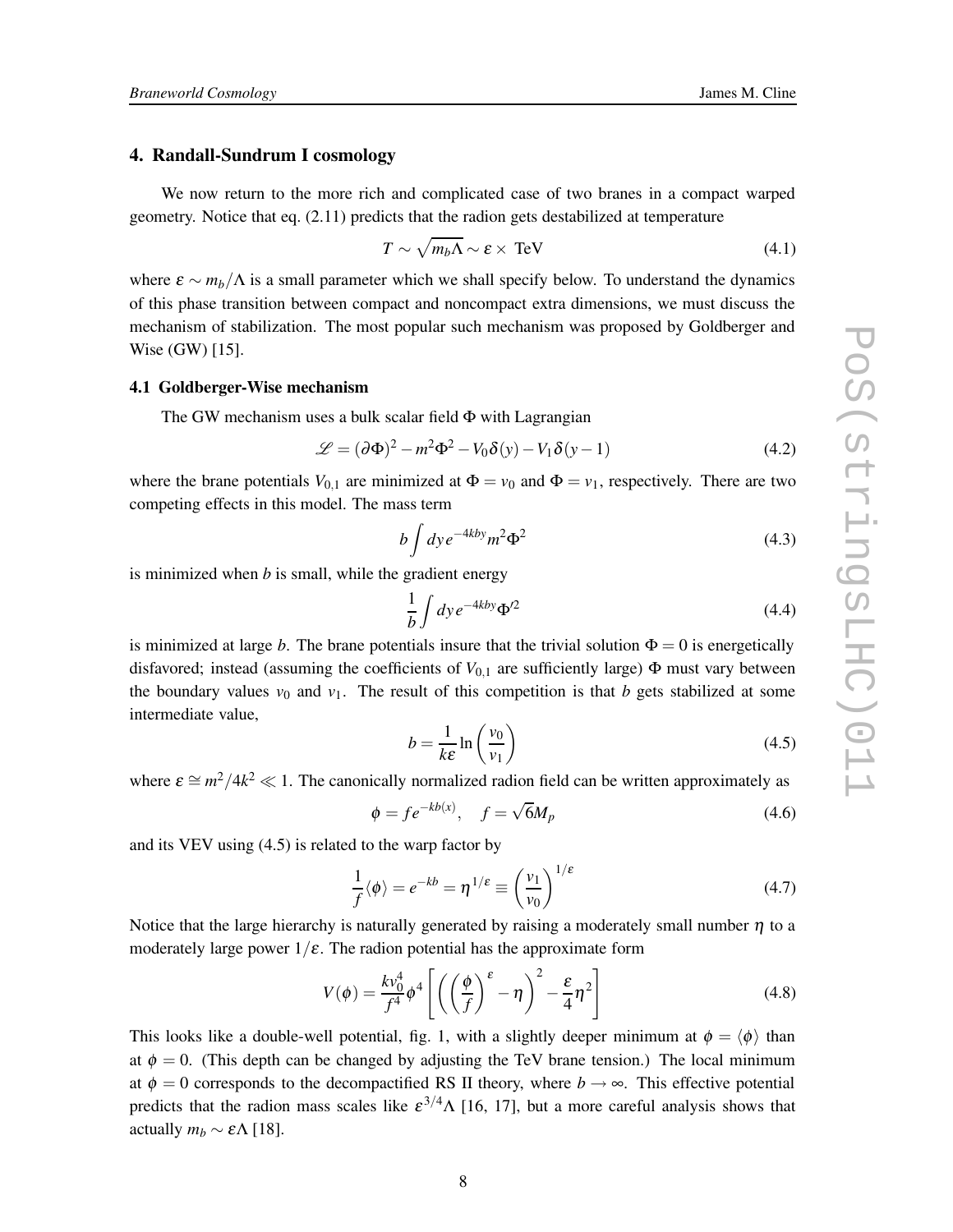## **4. Randall-Sundrum I cosmology**

We now return to the more rich and complicated case of two branes in a compact warped geometry. Notice that eq. (2.11) predicts that the radion gets destabilized at temperature

$$
T \sim \sqrt{m_b \Lambda} \sim \varepsilon \times \text{TeV}
$$
 (4.1)

where  $\varepsilon \sim m_b/\Lambda$  is a small parameter which we shall specify below. To understand the dynamics of this phase transition between compact and noncompact extra dimensions, we must discuss the mechanism of stabilization. The most popular such mechanism was proposed by Goldberger and Wise (GW) [15].

### **4.1 Goldberger-Wise mechanism**

The GW mechanism uses a bulk scalar field Φ with Lagrangian

$$
\mathcal{L} = (\partial \Phi)^2 - m^2 \Phi^2 - V_0 \delta(y) - V_1 \delta(y - 1)
$$
\n(4.2)

where the brane potentials  $V_{0,1}$  are minimized at  $\Phi = v_0$  and  $\Phi = v_1$ , respectively. There are two competing effects in this model. The mass term

$$
b \int dy e^{-4kby} m^2 \Phi^2 \tag{4.3}
$$

is minimized when *b* is small, while the gradient energy

$$
\frac{1}{b} \int dy e^{-4kby} \Phi'^2 \tag{4.4}
$$

is minimized at large *b*. The brane potentials insure that the trivial solution  $\Phi = 0$  is energetically disfavored; instead (assuming the coefficients of *V*0,<sup>1</sup> are sufficiently large) Φ must vary between the boundary values  $v_0$  and  $v_1$ . The result of this competition is that *b* gets stabilized at some intermediate value,

$$
b = \frac{1}{k\varepsilon} \ln \left( \frac{v_0}{v_1} \right) \tag{4.5}
$$

where  $\varepsilon \cong m^2/4k^2 \ll 1$ . The canonically normalized radion field can be written approximately as

$$
\phi = f e^{-kb(x)}, \quad f = \sqrt{6}M_p \tag{4.6}
$$

and its VEV using (4.5) is related to the warp factor by

$$
\frac{1}{f}\langle \phi \rangle = e^{-kb} = \eta^{1/\varepsilon} \equiv \left(\frac{v_1}{v_0}\right)^{1/\varepsilon} \tag{4.7}
$$

Notice that the large hierarchy is naturally generated by raising a moderately small number  $\eta$  to a moderately large power  $1/\varepsilon$ . The radion potential has the approximate form

$$
V(\phi) = \frac{k v_0^4}{f^4} \phi^4 \left[ \left( \left( \frac{\phi}{f} \right)^{\varepsilon} - \eta \right)^2 - \frac{\varepsilon}{4} \eta^2 \right]
$$
 (4.8)

This looks like a double-well potential, fig. 1, with a slightly deeper minimum at  $\phi = \langle \phi \rangle$  than at  $\phi = 0$ . (This depth can be changed by adjusting the TeV brane tension.) The local minimum at  $\phi = 0$  corresponds to the decompactified RS II theory, where  $b \rightarrow \infty$ . This effective potential predicts that the radion mass scales like  $\varepsilon^{3/4} \Lambda$  [16, 17], but a more careful analysis shows that actually  $m_b \sim \varepsilon \Lambda$  [18].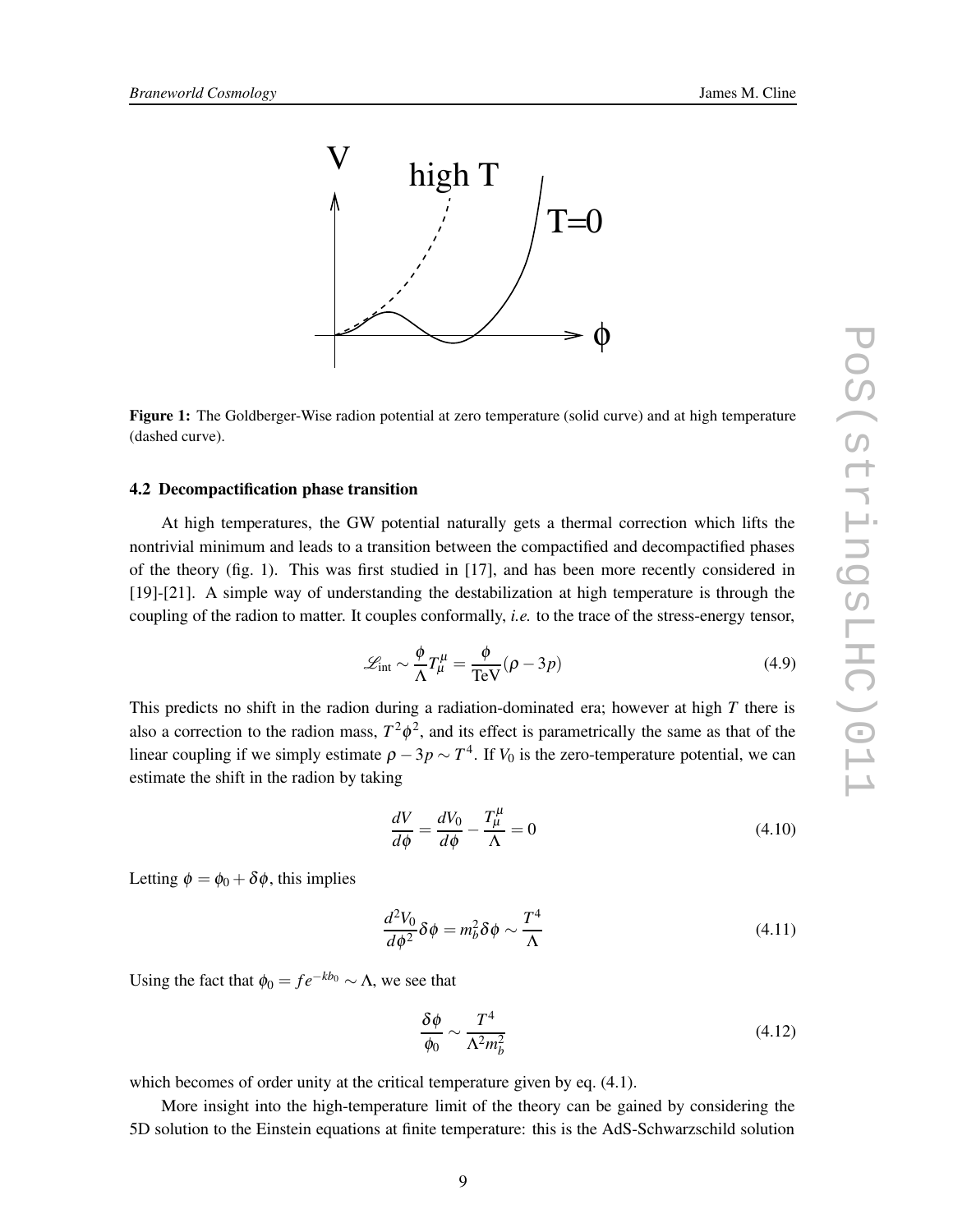

**Figure 1:** The Goldberger-Wise radion potential at zero temperature (solid curve) and at high temperature (dashed curve).

## **4.2 Decompactification phase transition**

At high temperatures, the GW potential naturally gets a thermal correction which lifts the nontrivial minimum and leads to a transition between the compactified and decompactified phases of the theory (fig. 1). This was first studied in [17], and has been more recently considered in [19]-[21]. A simple way of understanding the destabilization at high temperature is through the coupling of the radion to matter. It couples conformally, *i.e.* to the trace of the stress-energy tensor,

$$
\mathcal{L}_{int} \sim \frac{\phi}{\Lambda} T_{\mu}^{\mu} = \frac{\phi}{\text{TeV}} (\rho - 3p)
$$
 (4.9)

This predicts no shift in the radion during a radiation-dominated era; however at high *T* there is also a correction to the radion mass,  $T^2 \phi^2$ , and its effect is parametrically the same as that of the linear coupling if we simply estimate  $\rho - 3p \sim T^4$ . If  $V_0$  is the zero-temperature potential, we can estimate the shift in the radion by taking

$$
\frac{dV}{d\phi} = \frac{dV_0}{d\phi} - \frac{T^{\mu}_{\mu}}{\Lambda} = 0
$$
\n(4.10)

Letting  $\phi = \phi_0 + \delta \phi$ , this implies

$$
\frac{d^2V_0}{d\phi^2}\delta\phi = m_b^2\delta\phi \sim \frac{T^4}{\Lambda}
$$
\n(4.11)

Using the fact that  $\phi_0 = f e^{-kb_0} \sim \Lambda$ , we see that

$$
\frac{\delta\phi}{\phi_0} \sim \frac{T^4}{\Lambda^2 m_b^2} \tag{4.12}
$$

which becomes of order unity at the critical temperature given by eq.  $(4.1)$ .

More insight into the high-temperature limit of the theory can be gained by considering the 5D solution to the Einstein equations at finite temperature: this is the AdS-Schwarzschild solution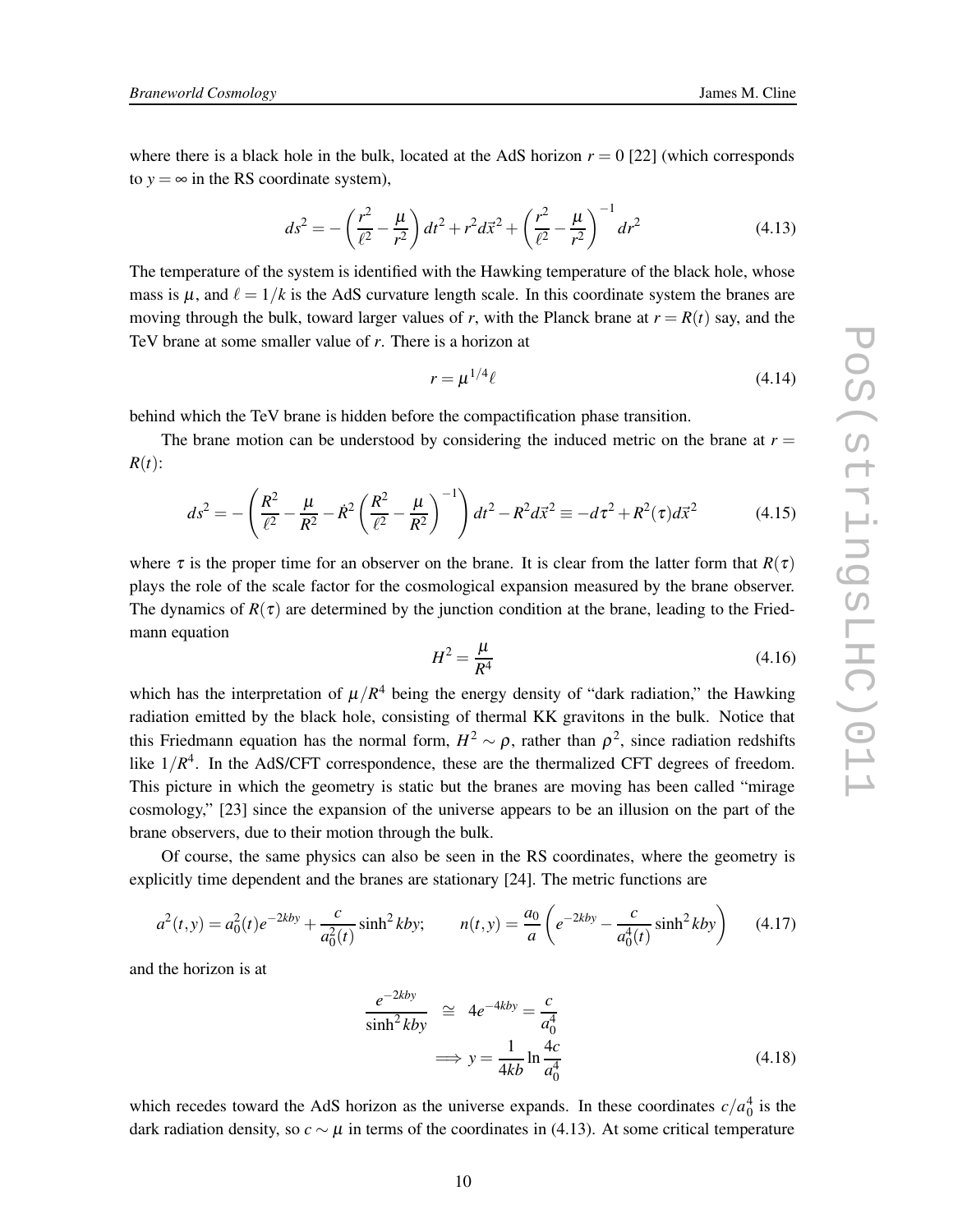where there is a black hole in the bulk, located at the AdS horizon  $r = 0$  [22] (which corresponds to  $y = \infty$  in the RS coordinate system),

$$
ds^{2} = -\left(\frac{r^{2}}{\ell^{2}} - \frac{\mu}{r^{2}}\right)dt^{2} + r^{2}d\vec{x}^{2} + \left(\frac{r^{2}}{\ell^{2}} - \frac{\mu}{r^{2}}\right)^{-1}dr^{2}
$$
(4.13)

The temperature of the system is identified with the Hawking temperature of the black hole, whose mass is  $\mu$ , and  $\ell = 1/k$  is the AdS curvature length scale. In this coordinate system the branes are moving through the bulk, toward larger values of *r*, with the Planck brane at  $r = R(t)$  say, and the TeV brane at some smaller value of *r*. There is a horizon at

$$
r = \mu^{1/4} \ell \tag{4.14}
$$

behind which the TeV brane is hidden before the compactification phase transition.

The brane motion can be understood by considering the induced metric on the brane at  $r =$  $R(t)$ :

$$
ds^{2} = -\left(\frac{R^{2}}{\ell^{2}} - \frac{\mu}{R^{2}} - \dot{R}^{2}\left(\frac{R^{2}}{\ell^{2}} - \frac{\mu}{R^{2}}\right)^{-1}\right)dt^{2} - R^{2}d\vec{x}^{2} \equiv -d\tau^{2} + R^{2}(\tau)d\vec{x}^{2}
$$
(4.15)

where  $\tau$  is the proper time for an observer on the brane. It is clear from the latter form that  $R(\tau)$ plays the role of the scale factor for the cosmological expansion measured by the brane observer. The dynamics of  $R(\tau)$  are determined by the junction condition at the brane, leading to the Friedmann equation

$$
H^2 = \frac{\mu}{R^4} \tag{4.16}
$$

which has the interpretation of  $\mu/R^4$  being the energy density of "dark radiation," the Hawking radiation emitted by the black hole, consisting of thermal KK gravitons in the bulk. Notice that this Friedmann equation has the normal form,  $H^2 \sim \rho$ , rather than  $\rho^2$ , since radiation redshifts like  $1/R<sup>4</sup>$ . In the AdS/CFT correspondence, these are the thermalized CFT degrees of freedom. This picture in which the geometry is static but the branes are moving has been called "mirage cosmology," [23] since the expansion of the universe appears to be an illusion on the part of the brane observers, due to their motion through the bulk.

Of course, the same physics can also be seen in the RS coordinates, where the geometry is explicitly time dependent and the branes are stationary [24]. The metric functions are

$$
a^{2}(t,y) = a_{0}^{2}(t)e^{-2kby} + \frac{c}{a_{0}^{2}(t)}\sinh^{2}kby; \qquad n(t,y) = \frac{a_{0}}{a}\left(e^{-2kby} - \frac{c}{a_{0}^{4}(t)}\sinh^{2}kby\right) \tag{4.17}
$$

and the horizon is at

$$
\frac{e^{-2kby}}{\sinh^2 kby} \cong 4e^{-4kby} = \frac{c}{a_0^4}
$$
  

$$
\implies y = \frac{1}{4kb} \ln \frac{4c}{a_0^4}
$$
(4.18)

which recedes toward the AdS horizon as the universe expands. In these coordinates  $c/a_0^4$  is the dark radiation density, so  $c \sim \mu$  in terms of the coordinates in (4.13). At some critical temperature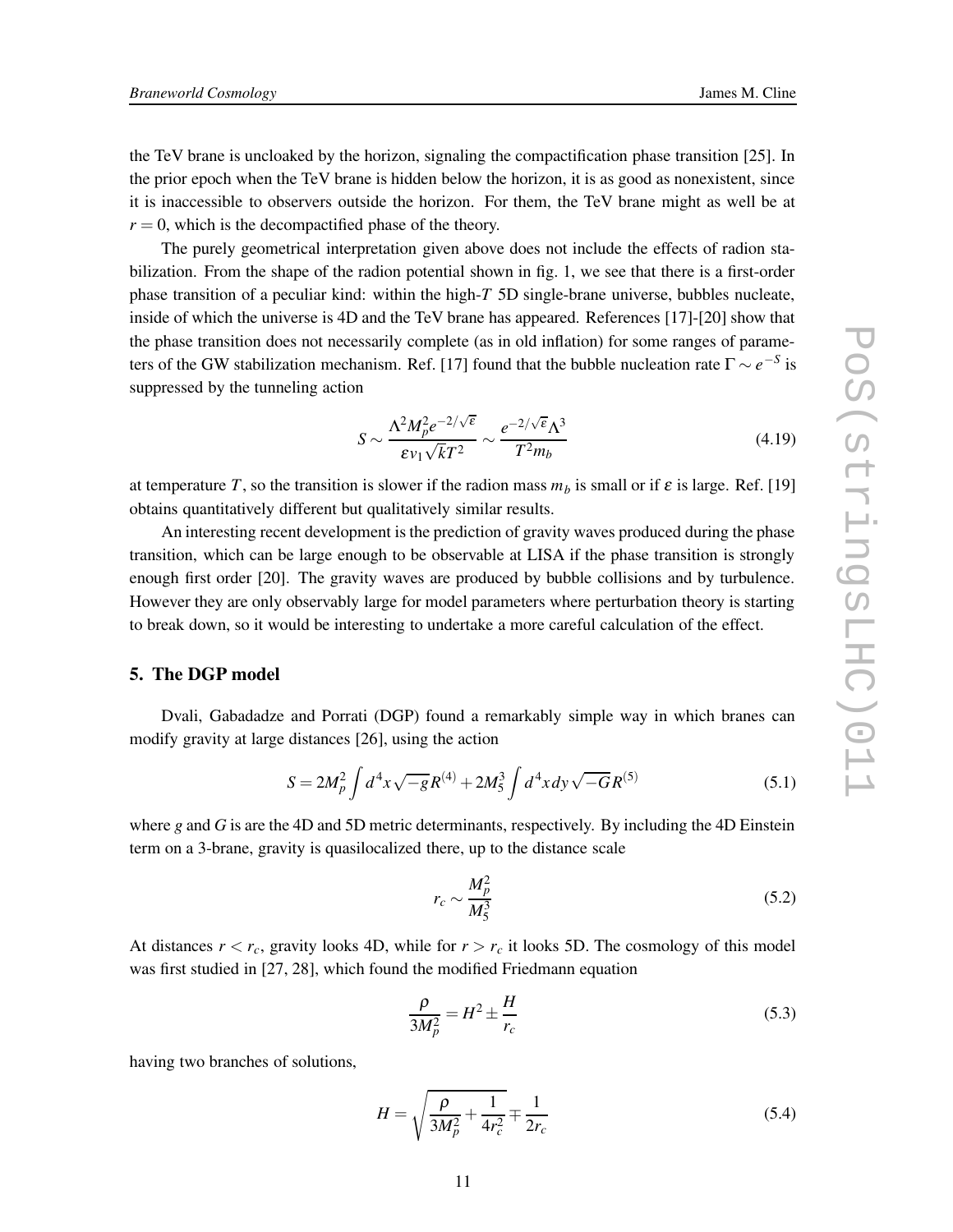the TeV brane is uncloaked by the horizon, signaling the compactification phase transition [25]. In the prior epoch when the TeV brane is hidden below the horizon, it is as good as nonexistent, since it is inaccessible to observers outside the horizon. For them, the TeV brane might as well be at  $r = 0$ , which is the decompactified phase of the theory.

The purely geometrical interpretation given above does not include the effects of radion stabilization. From the shape of the radion potential shown in fig. 1, we see that there is a first-order phase transition of a peculiar kind: within the high-*T* 5D single-brane universe, bubbles nucleate, inside of which the universe is 4D and the TeV brane has appeared. References [17]-[20] show that the phase transition does not necessarily complete (as in old inflation) for some ranges of parameters of the GW stabilization mechanism. Ref. [17] found that the bubble nucleation rate  $\Gamma \sim e^{-S}$  is suppressed by the tunneling action

$$
S \sim \frac{\Lambda^2 M_p^2 e^{-2/\sqrt{\epsilon}}}{\epsilon v_1 \sqrt{k} T^2} \sim \frac{e^{-2/\sqrt{\epsilon}} \Lambda^3}{T^2 m_b}
$$
(4.19)

at temperature *T*, so the transition is slower if the radion mass  $m_b$  is small or if  $\varepsilon$  is large. Ref. [19] obtains quantitatively different but qualitatively similar results.

An interesting recent development is the prediction of gravity waves produced during the phase transition, which can be large enough to be observable at LISA if the phase transition is strongly enough first order [20]. The gravity waves are produced by bubble collisions and by turbulence. However they are only observably large for model parameters where perturbation theory is starting to break down, so it would be interesting to undertake a more careful calculation of the effect.

# **5. The DGP model**

Dvali, Gabadadze and Porrati (DGP) found a remarkably simple way in which branes can modify gravity at large distances [26], using the action

$$
S = 2M_p^2 \int d^4x \sqrt{-g} R^{(4)} + 2M_5^3 \int d^4x dy \sqrt{-G} R^{(5)}
$$
(5.1)

where *g* and *G* is are the 4D and 5D metric determinants, respectively. By including the 4D Einstein term on a 3-brane, gravity is quasilocalized there, up to the distance scale

$$
r_c \sim \frac{M_p^2}{M_5^3} \tag{5.2}
$$

At distances  $r < r_c$ , gravity looks 4D, while for  $r > r_c$  it looks 5D. The cosmology of this model was first studied in [27, 28], which found the modified Friedmann equation

$$
\frac{\rho}{3M_p^2} = H^2 \pm \frac{H}{r_c} \tag{5.3}
$$

having two branches of solutions,

$$
H = \sqrt{\frac{\rho}{3M_p^2} + \frac{1}{4r_c^2}} \mp \frac{1}{2r_c}
$$
 (5.4)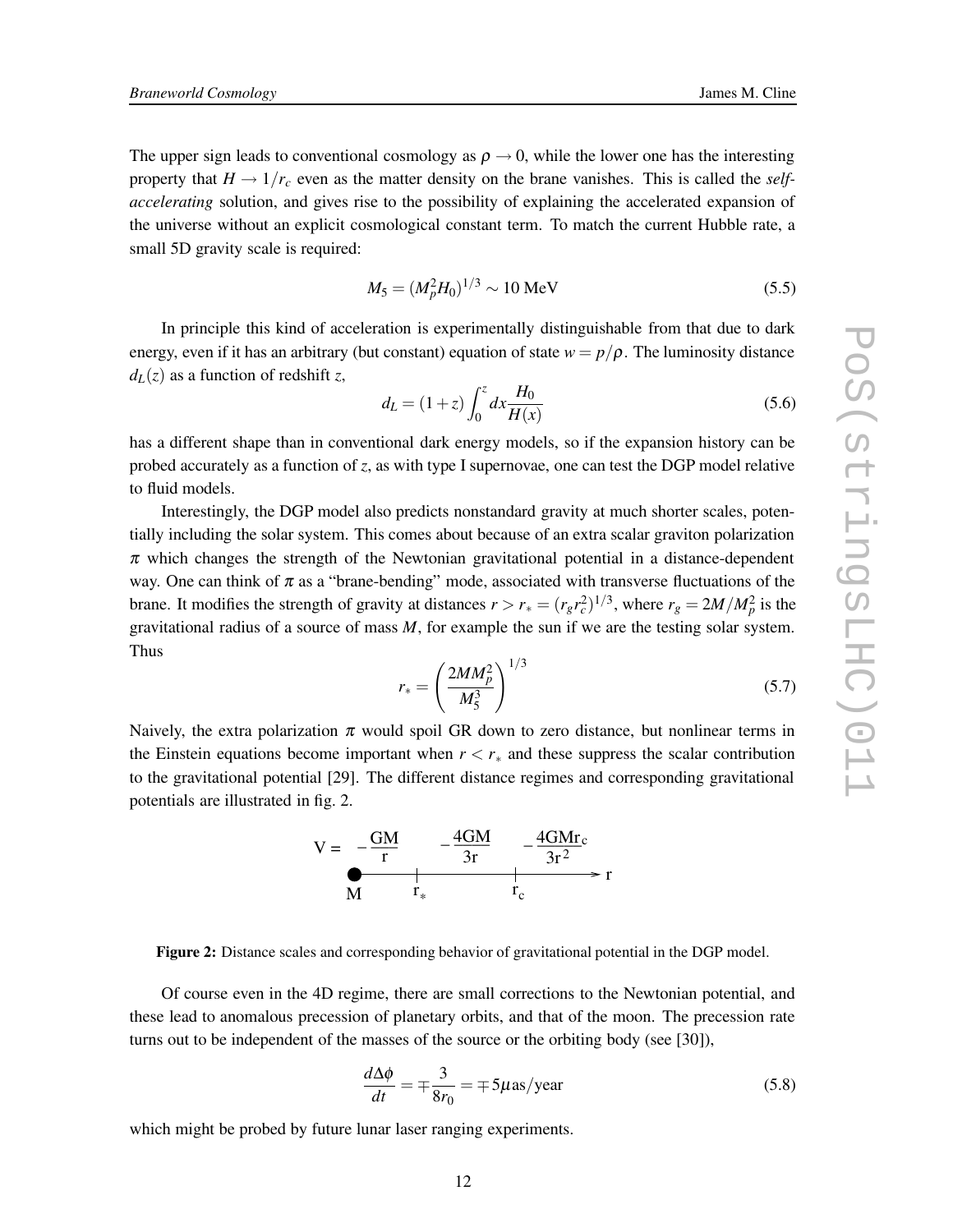The upper sign leads to conventional cosmology as  $\rho \rightarrow 0$ , while the lower one has the interesting property that  $H \to 1/r_c$  even as the matter density on the brane vanishes. This is called the *selfaccelerating* solution, and gives rise to the possibility of explaining the accelerated expansion of the universe without an explicit cosmological constant term. To match the current Hubble rate, a small 5D gravity scale is required:

$$
M_5 = (M_p^2 H_0)^{1/3} \sim 10 \text{ MeV}
$$
 (5.5)

In principle this kind of acceleration is experimentally distinguishable from that due to dark energy, even if it has an arbitrary (but constant) equation of state  $w = p/\rho$ . The luminosity distance  $d_L(z)$  as a function of redshift *z*,

$$
d_L = (1+z) \int_0^z dx \frac{H_0}{H(x)}
$$
\n(5.6)

has a different shape than in conventional dark energy models, so if the expansion history can be probed accurately as a function of *z*, as with type I supernovae, one can test the DGP model relative to fluid models.

Interestingly, the DGP model also predicts nonstandard gravity at much shorter scales, potentially including the solar system. This comes about because of an extra scalar graviton polarization  $\pi$  which changes the strength of the Newtonian gravitational potential in a distance-dependent way. One can think of  $\pi$  as a "brane-bending" mode, associated with transverse fluctuations of the brane. It modifies the strength of gravity at distances  $r > r_* = (r_g r_c^2)^{1/3}$ , where  $r_g = 2M/M_p^2$  is the gravitational radius of a source of mass *M*, for example the sun if we are the testing solar system. Thus

$$
r_* = \left(\frac{2MM_p^2}{M_5^3}\right)^{1/3} \tag{5.7}
$$

Naively, the extra polarization  $\pi$  would spoil GR down to zero distance, but nonlinear terms in the Einstein equations become important when  $r < r_*$  and these suppress the scalar contribution to the gravitational potential [29]. The different distance regimes and corresponding gravitational potentials are illustrated in fig. 2.



**Figure 2:** Distance scales and corresponding behavior of gravitational potential in the DGP model.

Of course even in the 4D regime, there are small corrections to the Newtonian potential, and these lead to anomalous precession of planetary orbits, and that of the moon. The precession rate turns out to be independent of the masses of the source or the orbiting body (see [30]),

$$
\frac{d\Delta\phi}{dt} = \mp\frac{3}{8r_0} = \mp 5\mu \text{as/year}
$$
 (5.8)

which might be probed by future lunar laser ranging experiments.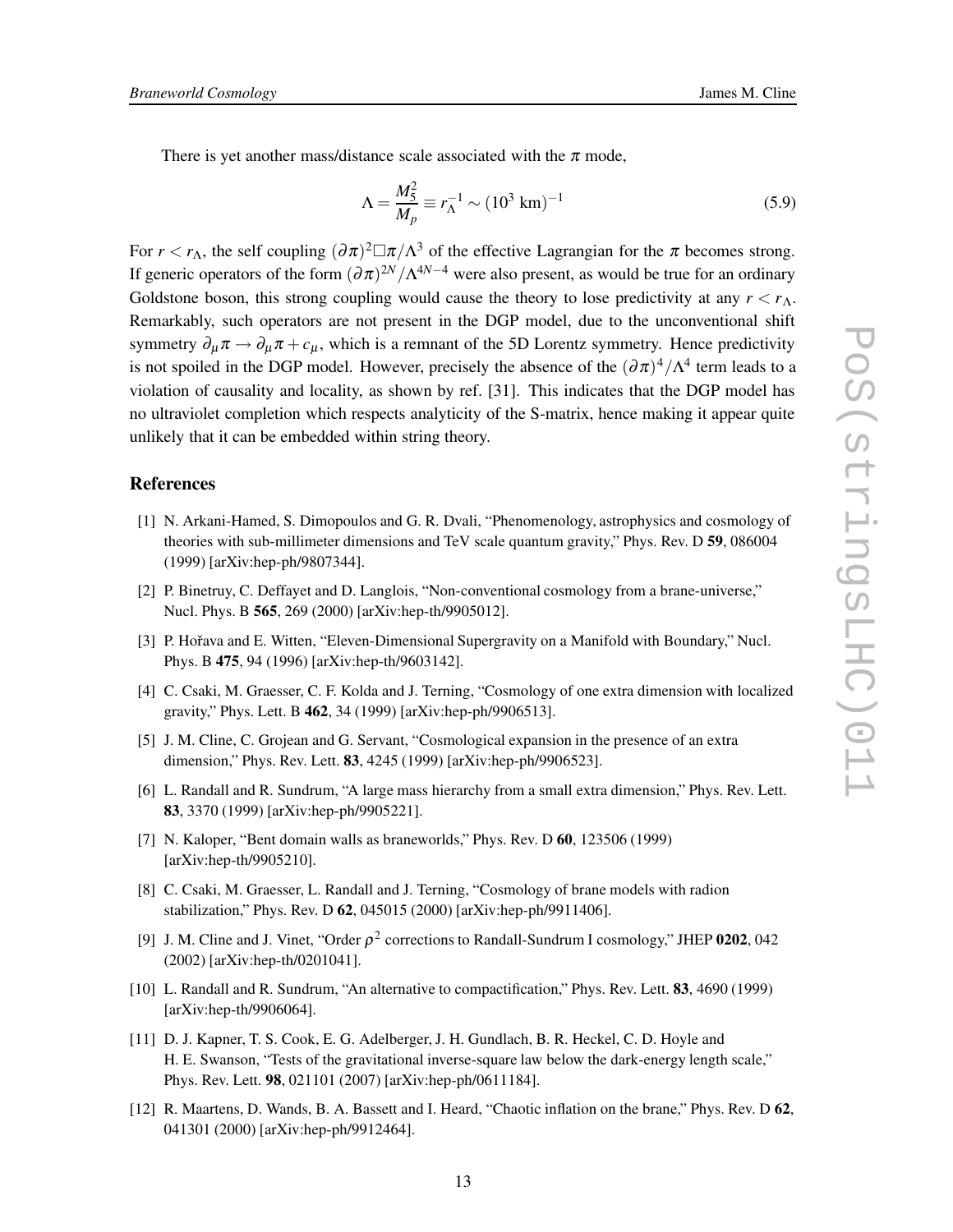There is yet another mass/distance scale associated with the  $\pi$  mode,

$$
\Lambda = \frac{M_{5}^{2}}{M_{p}} \equiv r_{\Lambda}^{-1} \sim (10^{3} \text{ km})^{-1}
$$
 (5.9)

For  $r < r_\Lambda$ , the self coupling  $(\partial \pi)^2 \Box \pi / \Lambda^3$  of the effective Lagrangian for the  $\pi$  becomes strong. If generic operators of the form  $(\partial \pi)^{2N}/\Lambda^{4N-4}$  were also present, as would be true for an ordinary Goldstone boson, this strong coupling would cause the theory to lose predictivity at any  $r < r_\Lambda$ . Remarkably, such operators are not present in the DGP model, due to the unconventional shift symmetry  $\partial_{\mu}\pi \rightarrow \partial_{\mu}\pi + c_{\mu}$ , which is a remnant of the 5D Lorentz symmetry. Hence predictivity is not spoiled in the DGP model. However, precisely the absence of the  $(\partial \pi)^4/\Lambda^4$  term leads to a violation of causality and locality, as shown by ref. [31]. This indicates that the DGP model has no ultraviolet completion which respects analyticity of the S-matrix, hence making it appear quite unlikely that it can be embedded within string theory.

#### **References**

- [1] N. Arkani-Hamed, S. Dimopoulos and G. R. Dvali, "Phenomenology, astrophysics and cosmology of theories with sub-millimeter dimensions and TeV scale quantum gravity," Phys. Rev. D **59**, 086004 (1999) [arXiv:hep-ph/9807344].
- [2] P. Binetruy, C. Deffayet and D. Langlois, "Non-conventional cosmology from a brane-universe," Nucl. Phys. B **565**, 269 (2000) [arXiv:hep-th/9905012].
- [3] P. Hořava and E. Witten, "Eleven-Dimensional Supergravity on a Manifold with Boundary," Nucl. Phys. B **475**, 94 (1996) [arXiv:hep-th/9603142].
- [4] C. Csaki, M. Graesser, C. F. Kolda and J. Terning, "Cosmology of one extra dimension with localized gravity," Phys. Lett. B **462**, 34 (1999) [arXiv:hep-ph/9906513].
- [5] J. M. Cline, C. Grojean and G. Servant, "Cosmological expansion in the presence of an extra dimension," Phys. Rev. Lett. **83**, 4245 (1999) [arXiv:hep-ph/9906523].
- [6] L. Randall and R. Sundrum, "A large mass hierarchy from a small extra dimension," Phys. Rev. Lett. **83**, 3370 (1999) [arXiv:hep-ph/9905221].
- [7] N. Kaloper, "Bent domain walls as braneworlds," Phys. Rev. D **60**, 123506 (1999) [arXiv:hep-th/9905210].
- [8] C. Csaki, M. Graesser, L. Randall and J. Terning, "Cosmology of brane models with radion stabilization," Phys. Rev. D **62**, 045015 (2000) [arXiv:hep-ph/9911406].
- [9] J. M. Cline and J. Vinet, "Order  $\rho^2$  corrections to Randall-Sundrum I cosmology," JHEP 0202, 042 (2002) [arXiv:hep-th/0201041].
- [10] L. Randall and R. Sundrum, "An alternative to compactification," Phys. Rev. Lett. **83**, 4690 (1999) [arXiv:hep-th/9906064].
- [11] D. J. Kapner, T. S. Cook, E. G. Adelberger, J. H. Gundlach, B. R. Heckel, C. D. Hoyle and H. E. Swanson, "Tests of the gravitational inverse-square law below the dark-energy length scale," Phys. Rev. Lett. **98**, 021101 (2007) [arXiv:hep-ph/0611184].
- [12] R. Maartens, D. Wands, B. A. Bassett and I. Heard, "Chaotic inflation on the brane," Phys. Rev. D **62**, 041301 (2000) [arXiv:hep-ph/9912464].